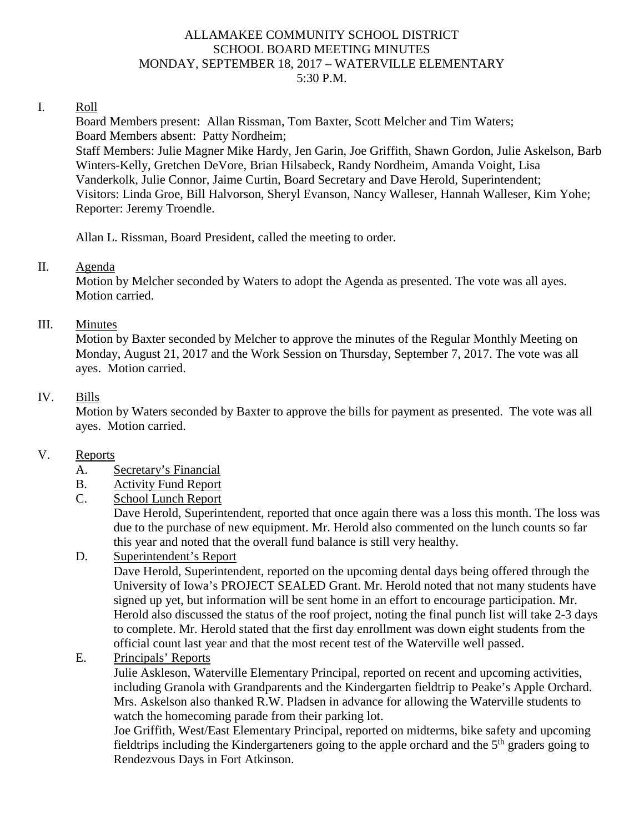### ALLAMAKEE COMMUNITY SCHOOL DISTRICT SCHOOL BOARD MEETING MINUTES MONDAY, SEPTEMBER 18, 2017 – WATERVILLE ELEMENTARY 5:30 P.M.

#### I. Roll

Board Members present: Allan Rissman, Tom Baxter, Scott Melcher and Tim Waters; Board Members absent: Patty Nordheim; Staff Members: Julie Magner Mike Hardy, Jen Garin, Joe Griffith, Shawn Gordon, Julie Askelson, Barb Winters-Kelly, Gretchen DeVore, Brian Hilsabeck, Randy Nordheim, Amanda Voight, Lisa Vanderkolk, Julie Connor, Jaime Curtin, Board Secretary and Dave Herold, Superintendent; Visitors: Linda Groe, Bill Halvorson, Sheryl Evanson, Nancy Walleser, Hannah Walleser, Kim Yohe; Reporter: Jeremy Troendle.

Allan L. Rissman, Board President, called the meeting to order.

### II. Agenda

Motion by Melcher seconded by Waters to adopt the Agenda as presented. The vote was all ayes. Motion carried.

### III. Minutes

Motion by Baxter seconded by Melcher to approve the minutes of the Regular Monthly Meeting on Monday, August 21, 2017 and the Work Session on Thursday, September 7, 2017. The vote was all ayes. Motion carried.

### IV. Bills

Motion by Waters seconded by Baxter to approve the bills for payment as presented. The vote was all ayes. Motion carried.

### V. Reports

- A. Secretary's Financial
- B. Activity Fund Report
- C. School Lunch Report

Dave Herold, Superintendent, reported that once again there was a loss this month. The loss was due to the purchase of new equipment. Mr. Herold also commented on the lunch counts so far this year and noted that the overall fund balance is still very healthy.

### D. Superintendent's Report

Dave Herold, Superintendent, reported on the upcoming dental days being offered through the University of Iowa's PROJECT SEALED Grant. Mr. Herold noted that not many students have signed up yet, but information will be sent home in an effort to encourage participation. Mr. Herold also discussed the status of the roof project, noting the final punch list will take 2-3 days to complete. Mr. Herold stated that the first day enrollment was down eight students from the official count last year and that the most recent test of the Waterville well passed.

E. Principals' Reports

Julie Askleson, Waterville Elementary Principal, reported on recent and upcoming activities, including Granola with Grandparents and the Kindergarten fieldtrip to Peake's Apple Orchard. Mrs. Askelson also thanked R.W. Pladsen in advance for allowing the Waterville students to watch the homecoming parade from their parking lot.

Joe Griffith, West/East Elementary Principal, reported on midterms, bike safety and upcoming fieldtrips including the Kindergarteners going to the apple orchard and the  $5<sup>th</sup>$  graders going to Rendezvous Days in Fort Atkinson.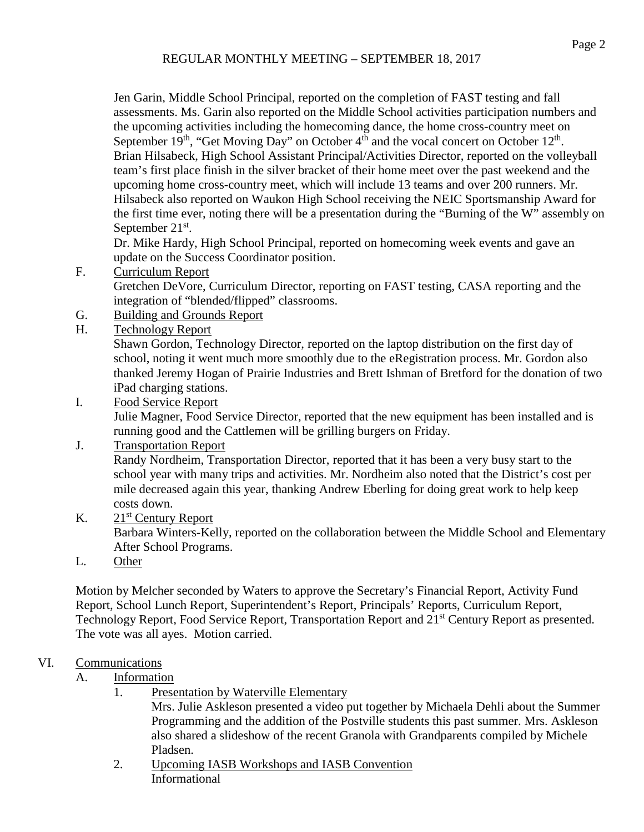Jen Garin, Middle School Principal, reported on the completion of FAST testing and fall assessments. Ms. Garin also reported on the Middle School activities participation numbers and the upcoming activities including the homecoming dance, the home cross-country meet on September  $19<sup>th</sup>$ , "Get Moving Day" on October  $4<sup>th</sup>$  and the vocal concert on October  $12<sup>th</sup>$ . Brian Hilsabeck, High School Assistant Principal/Activities Director, reported on the volleyball team's first place finish in the silver bracket of their home meet over the past weekend and the upcoming home cross-country meet, which will include 13 teams and over 200 runners. Mr. Hilsabeck also reported on Waukon High School receiving the NEIC Sportsmanship Award for the first time ever, noting there will be a presentation during the "Burning of the W" assembly on September 21<sup>st</sup>.

Dr. Mike Hardy, High School Principal, reported on homecoming week events and gave an update on the Success Coordinator position.

F. Curriculum Report

Gretchen DeVore, Curriculum Director, reporting on FAST testing, CASA reporting and the integration of "blended/flipped" classrooms.

G. Building and Grounds Report

## H. Technology Report

Shawn Gordon, Technology Director, reported on the laptop distribution on the first day of school, noting it went much more smoothly due to the eRegistration process. Mr. Gordon also thanked Jeremy Hogan of Prairie Industries and Brett Ishman of Bretford for the donation of two iPad charging stations.

I. Food Service Report

Julie Magner, Food Service Director, reported that the new equipment has been installed and is running good and the Cattlemen will be grilling burgers on Friday.

# J. Transportation Report

Randy Nordheim, Transportation Director, reported that it has been a very busy start to the school year with many trips and activities. Mr. Nordheim also noted that the District's cost per mile decreased again this year, thanking Andrew Eberling for doing great work to help keep costs down.

## K. 21<sup>st</sup> Century Report

Barbara Winters-Kelly, reported on the collaboration between the Middle School and Elementary After School Programs.

L. Other

Motion by Melcher seconded by Waters to approve the Secretary's Financial Report, Activity Fund Report, School Lunch Report, Superintendent's Report, Principals' Reports, Curriculum Report, Technology Report, Food Service Report, Transportation Report and 21<sup>st</sup> Century Report as presented. The vote was all ayes. Motion carried.

# VI. Communications

## A. Information

- 1. Presentation by Waterville Elementary Mrs. Julie Askleson presented a video put together by Michaela Dehli about the Summer Programming and the addition of the Postville students this past summer. Mrs. Askleson also shared a slideshow of the recent Granola with Grandparents compiled by Michele Pladsen.
- 2. Upcoming IASB Workshops and IASB Convention Informational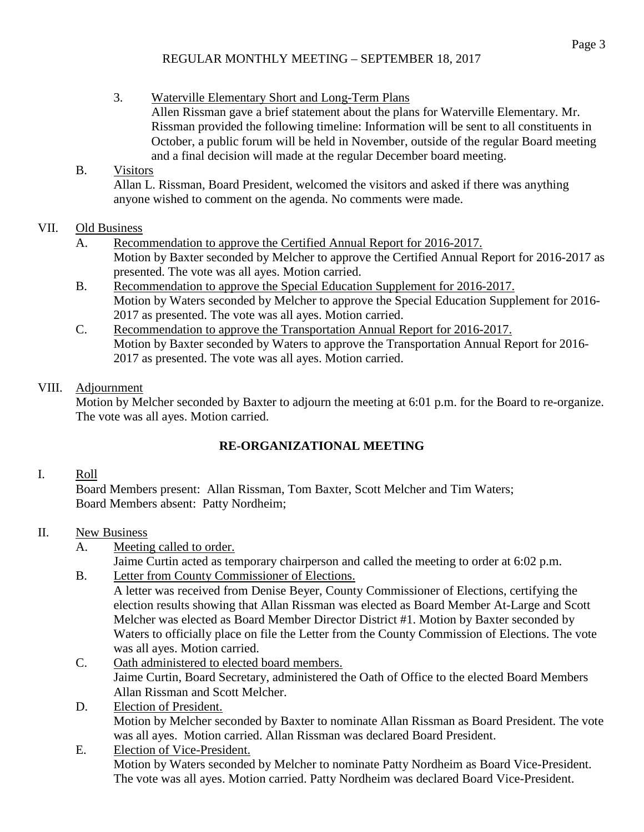### REGULAR MONTHLY MEETING – SEPTEMBER 18, 2017

3. Waterville Elementary Short and Long-Term Plans Allen Rissman gave a brief statement about the plans for Waterville Elementary. Mr. Rissman provided the following timeline: Information will be sent to all constituents in October, a public forum will be held in November, outside of the regular Board meeting and a final decision will made at the regular December board meeting.

## B. Visitors

Allan L. Rissman, Board President, welcomed the visitors and asked if there was anything anyone wished to comment on the agenda. No comments were made.

## VII. Old Business

- A. Recommendation to approve the Certified Annual Report for 2016-2017. Motion by Baxter seconded by Melcher to approve the Certified Annual Report for 2016-2017 as presented. The vote was all ayes. Motion carried.
- B. Recommendation to approve the Special Education Supplement for 2016-2017. Motion by Waters seconded by Melcher to approve the Special Education Supplement for 2016- 2017 as presented. The vote was all ayes. Motion carried.
- C. Recommendation to approve the Transportation Annual Report for 2016-2017. Motion by Baxter seconded by Waters to approve the Transportation Annual Report for 2016- 2017 as presented. The vote was all ayes. Motion carried.

## VIII. Adjournment

Motion by Melcher seconded by Baxter to adjourn the meeting at 6:01 p.m. for the Board to re-organize. The vote was all ayes. Motion carried.

# **RE-ORGANIZATIONAL MEETING**

## I. Roll

Board Members present: Allan Rissman, Tom Baxter, Scott Melcher and Tim Waters; Board Members absent: Patty Nordheim;

## II. New Business

A. Meeting called to order.

Jaime Curtin acted as temporary chairperson and called the meeting to order at 6:02 p.m.

B. Letter from County Commissioner of Elections.

A letter was received from Denise Beyer, County Commissioner of Elections, certifying the election results showing that Allan Rissman was elected as Board Member At-Large and Scott Melcher was elected as Board Member Director District #1. Motion by Baxter seconded by Waters to officially place on file the Letter from the County Commission of Elections. The vote was all ayes. Motion carried.

- C. Oath administered to elected board members. Jaime Curtin, Board Secretary, administered the Oath of Office to the elected Board Members Allan Rissman and Scott Melcher.
- D. Election of President. Motion by Melcher seconded by Baxter to nominate Allan Rissman as Board President. The vote was all ayes. Motion carried. Allan Rissman was declared Board President.
- E. Election of Vice-President. Motion by Waters seconded by Melcher to nominate Patty Nordheim as Board Vice-President. The vote was all ayes. Motion carried. Patty Nordheim was declared Board Vice-President.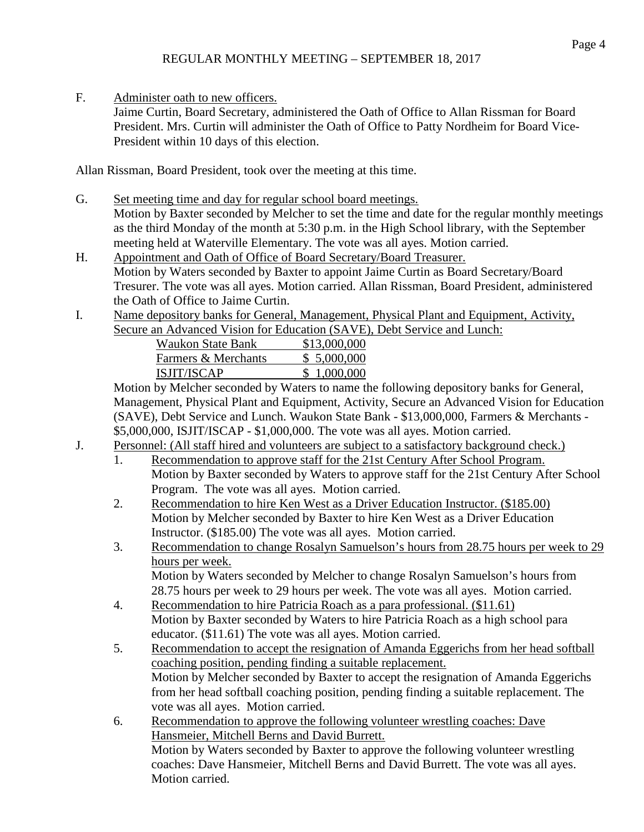F. Administer oath to new officers.

Jaime Curtin, Board Secretary, administered the Oath of Office to Allan Rissman for Board President. Mrs. Curtin will administer the Oath of Office to Patty Nordheim for Board Vice-President within 10 days of this election.

Allan Rissman, Board President, took over the meeting at this time.

G. Set meeting time and day for regular school board meetings.

Motion by Baxter seconded by Melcher to set the time and date for the regular monthly meetings as the third Monday of the month at 5:30 p.m. in the High School library, with the September meeting held at Waterville Elementary. The vote was all ayes. Motion carried.

H. Appointment and Oath of Office of Board Secretary/Board Treasurer. Motion by Waters seconded by Baxter to appoint Jaime Curtin as Board Secretary/Board Tresurer. The vote was all ayes. Motion carried. Allan Rissman, Board President, administered the Oath of Office to Jaime Curtin.

I. Name depository banks for General, Management, Physical Plant and Equipment, Activity, Secure an Advanced Vision for Education (SAVE), Debt Service and Lunch:

| $\mathfrak{m}$ revaliced vision for Equeation (DTV $\mathfrak{m}$ ) |              |
|---------------------------------------------------------------------|--------------|
| <b>Waukon State Bank</b>                                            | \$13,000,000 |
| Farmers & Merchants                                                 | \$5,000,000  |
| ISJIT/ISCAP                                                         | \$1,000,000  |
|                                                                     |              |

Motion by Melcher seconded by Waters to name the following depository banks for General, Management, Physical Plant and Equipment, Activity, Secure an Advanced Vision for Education (SAVE), Debt Service and Lunch. Waukon State Bank - \$13,000,000, Farmers & Merchants - \$5,000,000, ISJIT/ISCAP - \$1,000,000. The vote was all ayes. Motion carried.

- J. Personnel: (All staff hired and volunteers are subject to a satisfactory background check.)
	- 1. Recommendation to approve staff for the 21st Century After School Program. Motion by Baxter seconded by Waters to approve staff for the 21st Century After School Program. The vote was all ayes. Motion carried.
	- 2. Recommendation to hire Ken West as a Driver Education Instructor. (\$185.00) Motion by Melcher seconded by Baxter to hire Ken West as a Driver Education Instructor. (\$185.00) The vote was all ayes. Motion carried.
	- 3. Recommendation to change Rosalyn Samuelson's hours from 28.75 hours per week to 29 hours per week. Motion by Waters seconded by Melcher to change Rosalyn Samuelson's hours from 28.75 hours per week to 29 hours per week. The vote was all ayes. Motion carried.
	- 4. Recommendation to hire Patricia Roach as a para professional. (\$11.61) Motion by Baxter seconded by Waters to hire Patricia Roach as a high school para educator. (\$11.61) The vote was all ayes. Motion carried.
	- 5. Recommendation to accept the resignation of Amanda Eggerichs from her head softball coaching position, pending finding a suitable replacement. Motion by Melcher seconded by Baxter to accept the resignation of Amanda Eggerichs from her head softball coaching position, pending finding a suitable replacement. The vote was all ayes. Motion carried.
	- 6. Recommendation to approve the following volunteer wrestling coaches: Dave Hansmeier, Mitchell Berns and David Burrett. Motion by Waters seconded by Baxter to approve the following volunteer wrestling coaches: Dave Hansmeier, Mitchell Berns and David Burrett. The vote was all ayes. Motion carried.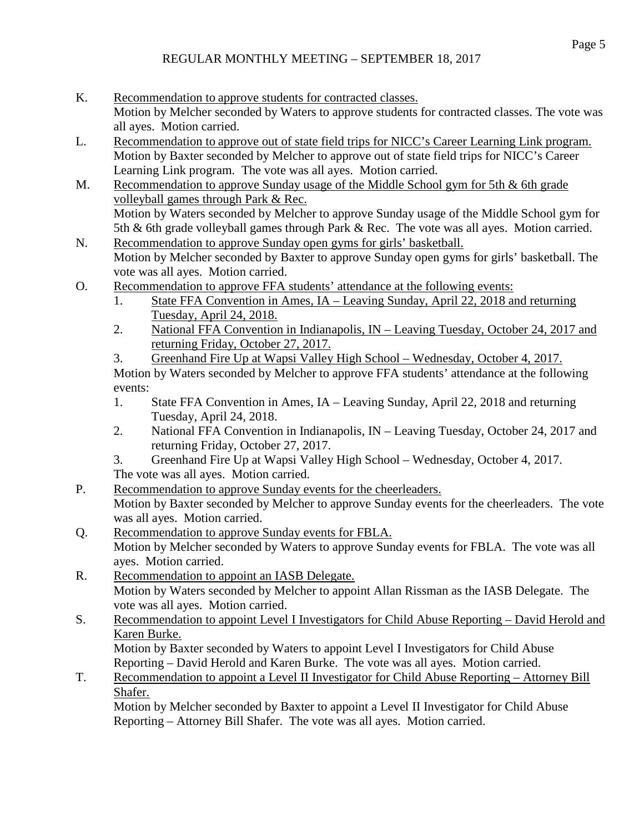- K. Recommendation to approve students for contracted classes. Motion by Melcher seconded by Waters to approve students for contracted classes. The vote was all ayes. Motion carried.
- L. Recommendation to approve out of state field trips for NICC's Career Learning Link program. Motion by Baxter seconded by Melcher to approve out of state field trips for NICC's Career Learning Link program. The vote was all ayes. Motion carried.
- M. Recommendation to approve Sunday usage of the Middle School gym for 5th & 6th grade volleyball games through Park & Rec. Motion by Waters seconded by Melcher to approve Sunday usage of the Middle School gym for 5th & 6th grade volleyball games through Park & Rec. The vote was all ayes. Motion carried.
- N. Recommendation to approve Sunday open gyms for girls' basketball. Motion by Melcher seconded by Baxter to approve Sunday open gyms for girls' basketball. The vote was all ayes. Motion carried.
- O. Recommendation to approve FFA students' attendance at the following events:
	- 1. State FFA Convention in Ames, IA Leaving Sunday, April 22, 2018 and returning Tuesday, April 24, 2018.
	- 2. National FFA Convention in Indianapolis, IN Leaving Tuesday, October 24, 2017 and returning Friday, October 27, 2017.
	- 3. Greenhand Fire Up at Wapsi Valley High School Wednesday, October 4, 2017.

Motion by Waters seconded by Melcher to approve FFA students' attendance at the following events:

- 1. State FFA Convention in Ames, IA Leaving Sunday, April 22, 2018 and returning Tuesday, April 24, 2018.
- 2. National FFA Convention in Indianapolis, IN Leaving Tuesday, October 24, 2017 and returning Friday, October 27, 2017.
- 3. Greenhand Fire Up at Wapsi Valley High School Wednesday, October 4, 2017. The vote was all ayes. Motion carried.
- P. Recommendation to approve Sunday events for the cheerleaders. Motion by Baxter seconded by Melcher to approve Sunday events for the cheerleaders. The vote was all ayes. Motion carried.
- Q. Recommendation to approve Sunday events for FBLA. Motion by Melcher seconded by Waters to approve Sunday events for FBLA. The vote was all ayes. Motion carried.
- R. Recommendation to appoint an IASB Delegate. Motion by Waters seconded by Melcher to appoint Allan Rissman as the IASB Delegate. The vote was all ayes. Motion carried.
- S. Recommendation to appoint Level I Investigators for Child Abuse Reporting David Herold and Karen Burke. Motion by Baxter seconded by Waters to appoint Level I Investigators for Child Abuse Reporting – David Herold and Karen Burke. The vote was all ayes. Motion carried.
- T. Recommendation to appoint a Level II Investigator for Child Abuse Reporting Attorney Bill Shafer.

Motion by Melcher seconded by Baxter to appoint a Level II Investigator for Child Abuse Reporting – Attorney Bill Shafer. The vote was all ayes. Motion carried.